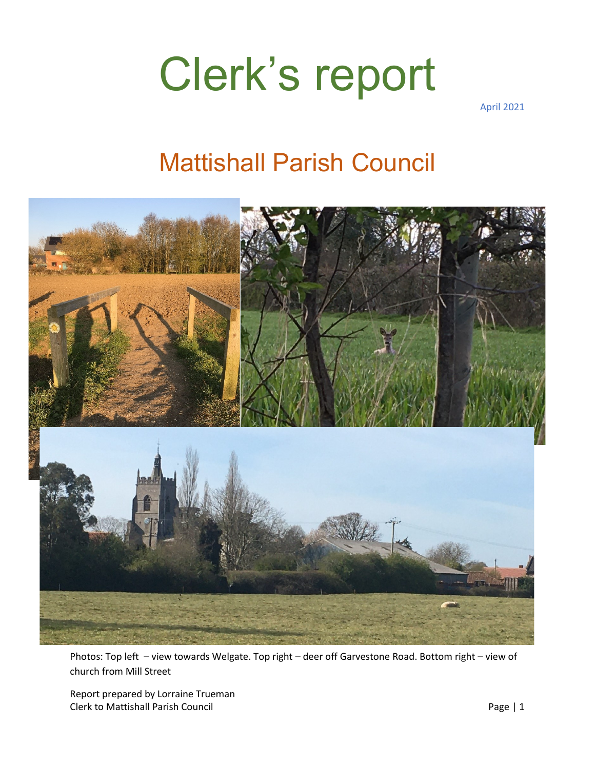## Clerk's report

April 2021

### Mattishall Parish Council



Photos: Top left – view towards Welgate. Top right – deer off Garvestone Road. Bottom right – view of church from Mill Street

Report prepared by Lorraine Trueman Clerk to Mattishall Parish Council **Page 1** 1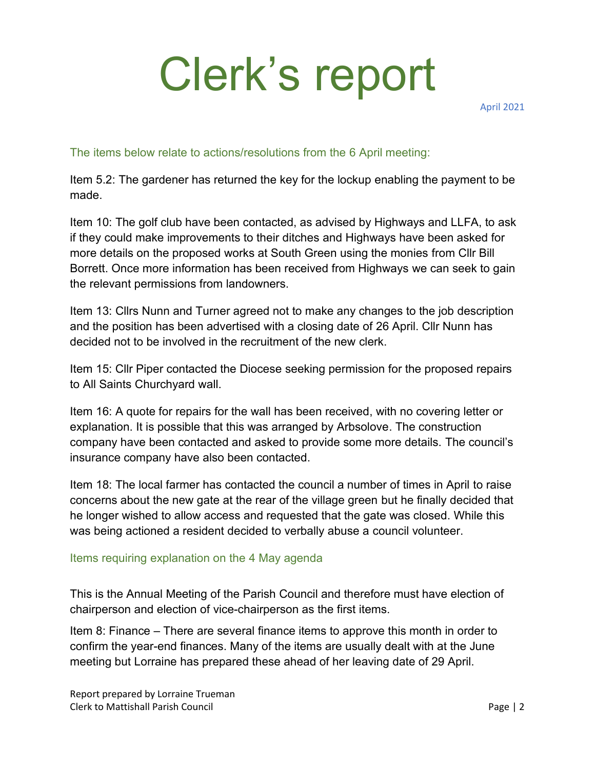# Clerk's report

April 2021

### The items below relate to actions/resolutions from the 6 April meeting:

Item 5.2: The gardener has returned the key for the lockup enabling the payment to be made.

Item 10: The golf club have been contacted, as advised by Highways and LLFA, to ask if they could make improvements to their ditches and Highways have been asked for more details on the proposed works at South Green using the monies from Cllr Bill Borrett. Once more information has been received from Highways we can seek to gain the relevant permissions from landowners.

Item 13: Cllrs Nunn and Turner agreed not to make any changes to the job description and the position has been advertised with a closing date of 26 April. Cllr Nunn has decided not to be involved in the recruitment of the new clerk.

Item 15: Cllr Piper contacted the Diocese seeking permission for the proposed repairs to All Saints Churchyard wall.

Item 16: A quote for repairs for the wall has been received, with no covering letter or explanation. It is possible that this was arranged by Arbsolove. The construction company have been contacted and asked to provide some more details. The council's insurance company have also been contacted.

Item 18: The local farmer has contacted the council a number of times in April to raise concerns about the new gate at the rear of the village green but he finally decided that he longer wished to allow access and requested that the gate was closed. While this was being actioned a resident decided to verbally abuse a council volunteer.

#### Items requiring explanation on the 4 May agenda

This is the Annual Meeting of the Parish Council and therefore must have election of chairperson and election of vice-chairperson as the first items.

Item 8: Finance – There are several finance items to approve this month in order to confirm the year-end finances. Many of the items are usually dealt with at the June meeting but Lorraine has prepared these ahead of her leaving date of 29 April.